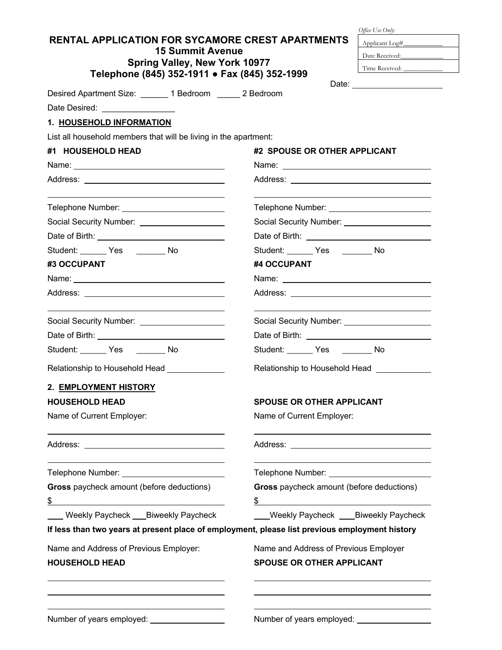| <b>RENTAL APPLICATION FOR SYCAMORE CREST APARTMENTS</b>                                                                                                                                                                       | Applicant Log#_______________                 |  |  |
|-------------------------------------------------------------------------------------------------------------------------------------------------------------------------------------------------------------------------------|-----------------------------------------------|--|--|
| <b>15 Summit Avenue</b>                                                                                                                                                                                                       | Date Received:                                |  |  |
| <b>Spring Valley, New York 10977</b>                                                                                                                                                                                          | Time Received:                                |  |  |
| Telephone (845) 352-1911 • Fax (845) 352-1999                                                                                                                                                                                 |                                               |  |  |
| Desired Apartment Size: _______ 1 Bedroom ______ 2 Bedroom                                                                                                                                                                    |                                               |  |  |
| Date Desired: ________________                                                                                                                                                                                                |                                               |  |  |
| 1. HOUSEHOLD INFORMATION                                                                                                                                                                                                      |                                               |  |  |
| List all household members that will be living in the apartment:                                                                                                                                                              |                                               |  |  |
| #1 HOUSEHOLD HEAD                                                                                                                                                                                                             | #2 SPOUSE OR OTHER APPLICANT                  |  |  |
|                                                                                                                                                                                                                               |                                               |  |  |
|                                                                                                                                                                                                                               |                                               |  |  |
| Telephone Number: National Assembly Press, National Assembly Press, National Assembly Press, National Assembly                                                                                                                | Telephone Number: ___________________________ |  |  |
| Social Security Number: _____________________                                                                                                                                                                                 | Social Security Number: _____________________ |  |  |
|                                                                                                                                                                                                                               |                                               |  |  |
| Student: Yes No                                                                                                                                                                                                               | Student: Yes No                               |  |  |
| #3 OCCUPANT                                                                                                                                                                                                                   | #4 OCCUPANT                                   |  |  |
| Name: Name and the service of the service of the service of the service of the service of the service of the service of the service of the service of the service of the service of the service of the service of the service |                                               |  |  |
|                                                                                                                                                                                                                               |                                               |  |  |
| Social Security Number: _____________________                                                                                                                                                                                 | Social Security Number: _____________________ |  |  |
| Date of Birth: <u>contract and the set of Birth:</u>                                                                                                                                                                          |                                               |  |  |
| Student: Yes No                                                                                                                                                                                                               | Student: _______ Yes ________ No              |  |  |
| Relationship to Household Head _____________                                                                                                                                                                                  | Relationship to Household Head                |  |  |
| 2. EMPLOYMENT HISTORY                                                                                                                                                                                                         |                                               |  |  |
| <b>HOUSEHOLD HEAD</b>                                                                                                                                                                                                         | <b>SPOUSE OR OTHER APPLICANT</b>              |  |  |
| Name of Current Employer:                                                                                                                                                                                                     | Name of Current Employer:                     |  |  |
|                                                                                                                                                                                                                               |                                               |  |  |
| Telephone Number: ____________________________                                                                                                                                                                                |                                               |  |  |
| Gross paycheck amount (before deductions)                                                                                                                                                                                     | Gross paycheck amount (before deductions)     |  |  |
| \$                                                                                                                                                                                                                            | \$                                            |  |  |
| Weekly Paycheck ___ Biweekly Paycheck                                                                                                                                                                                         | Weekly Paycheck ____Biweekly Paycheck         |  |  |
| If less than two years at present place of employment, please list previous employment history                                                                                                                                |                                               |  |  |
| Name and Address of Previous Employer:                                                                                                                                                                                        | Name and Address of Previous Employer         |  |  |
| <b>HOUSEHOLD HEAD</b>                                                                                                                                                                                                         | <b>SPOUSE OR OTHER APPLICANT</b>              |  |  |
|                                                                                                                                                                                                                               |                                               |  |  |
| Number of years employed: ____________________                                                                                                                                                                                |                                               |  |  |

 *Office Use Only:*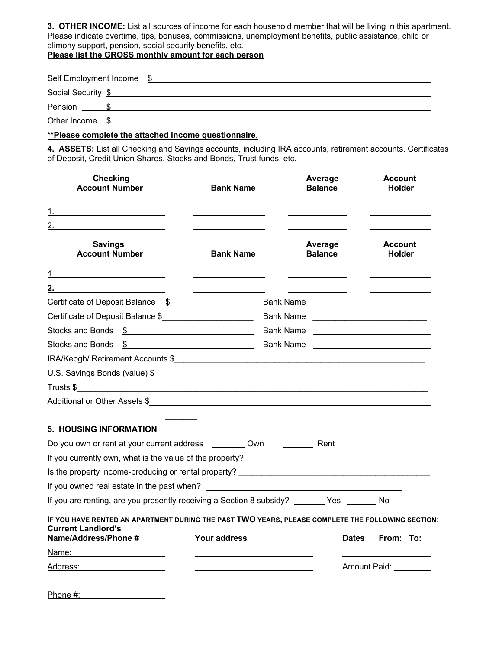**3. OTHER INCOME:** List all sources of income for each household member that will be living in this apartment. Please indicate overtime, tips, bonuses, commissions, unemployment benefits, public assistance, child or alimony support, pension, social security benefits, etc.

**Please list the GROSS monthly amount for each person**

| Self Employment Income \$ |  |
|---------------------------|--|
| Social Security \$        |  |
| Pension \$                |  |
| Other Income \$           |  |

## **\*\*Please complete the attached income questionnaire**.

**4. ASSETS:** List all Checking and Savings accounts, including IRA accounts, retirement accounts. Certificates of Deposit, Credit Union Shares, Stocks and Bonds, Trust funds, etc.

| <b>Checking</b><br><b>Account Number</b>                                                                                                               | <b>Bank Name</b>                                                                                                                                                                                                                                                                                                    |                                                                                                                                                                                                                               | Average<br><b>Balance</b> |              | Account<br><b>Holder</b>        |  |
|--------------------------------------------------------------------------------------------------------------------------------------------------------|---------------------------------------------------------------------------------------------------------------------------------------------------------------------------------------------------------------------------------------------------------------------------------------------------------------------|-------------------------------------------------------------------------------------------------------------------------------------------------------------------------------------------------------------------------------|---------------------------|--------------|---------------------------------|--|
| 2. $\qquad \qquad$                                                                                                                                     |                                                                                                                                                                                                                                                                                                                     |                                                                                                                                                                                                                               |                           |              |                                 |  |
| <b>Savings</b><br><b>Account Number</b>                                                                                                                | <b>Bank Name</b>                                                                                                                                                                                                                                                                                                    |                                                                                                                                                                                                                               | Average<br><b>Balance</b> |              | <b>Account</b><br><b>Holder</b> |  |
|                                                                                                                                                        |                                                                                                                                                                                                                                                                                                                     |                                                                                                                                                                                                                               |                           |              |                                 |  |
| 2. $\qquad \qquad \overline{\qquad \qquad }$                                                                                                           |                                                                                                                                                                                                                                                                                                                     |                                                                                                                                                                                                                               |                           |              |                                 |  |
| Certificate of Deposit Balance \$                                                                                                                      |                                                                                                                                                                                                                                                                                                                     |                                                                                                                                                                                                                               |                           |              |                                 |  |
| Certificate of Deposit Balance \$______________________                                                                                                |                                                                                                                                                                                                                                                                                                                     | Bank Name                                                                                                                                                                                                                     |                           |              |                                 |  |
|                                                                                                                                                        |                                                                                                                                                                                                                                                                                                                     |                                                                                                                                                                                                                               |                           |              |                                 |  |
| Stocks and Bonds                                                                                                                                       | $\frac{1}{2}$ $\frac{1}{2}$ $\frac{1}{2}$ $\frac{1}{2}$ $\frac{1}{2}$ $\frac{1}{2}$ $\frac{1}{2}$ $\frac{1}{2}$ $\frac{1}{2}$ $\frac{1}{2}$ $\frac{1}{2}$ $\frac{1}{2}$ $\frac{1}{2}$ $\frac{1}{2}$ $\frac{1}{2}$ $\frac{1}{2}$ $\frac{1}{2}$ $\frac{1}{2}$ $\frac{1}{2}$ $\frac{1}{2}$ $\frac{1}{2}$ $\frac{1}{2}$ | Bank Name and the state of the state of the state of the state of the state of the state of the state of the state of the state of the state of the state of the state of the state of the state of the state of the state of |                           |              |                                 |  |
|                                                                                                                                                        |                                                                                                                                                                                                                                                                                                                     |                                                                                                                                                                                                                               |                           |              |                                 |  |
|                                                                                                                                                        |                                                                                                                                                                                                                                                                                                                     |                                                                                                                                                                                                                               |                           |              |                                 |  |
|                                                                                                                                                        |                                                                                                                                                                                                                                                                                                                     |                                                                                                                                                                                                                               |                           |              |                                 |  |
| Additional or Other Assets \$                                                                                                                          |                                                                                                                                                                                                                                                                                                                     |                                                                                                                                                                                                                               |                           |              |                                 |  |
| <b>5. HOUSING INFORMATION</b>                                                                                                                          |                                                                                                                                                                                                                                                                                                                     |                                                                                                                                                                                                                               |                           |              |                                 |  |
| Do you own or rent at your current address _________ Own ____________ Rent                                                                             |                                                                                                                                                                                                                                                                                                                     |                                                                                                                                                                                                                               |                           |              |                                 |  |
|                                                                                                                                                        |                                                                                                                                                                                                                                                                                                                     |                                                                                                                                                                                                                               |                           |              |                                 |  |
| Is the property income-producing or rental property?                                                                                                   |                                                                                                                                                                                                                                                                                                                     |                                                                                                                                                                                                                               |                           |              |                                 |  |
| If you owned real estate in the past when?                                                                                                             | <u> 1989 - Andrea Stadt Britain, amerikansk politiker (</u>                                                                                                                                                                                                                                                         |                                                                                                                                                                                                                               |                           |              |                                 |  |
| If you are renting, are you presently receiving a Section 8 subsidy? _______ Yes _______ No                                                            |                                                                                                                                                                                                                                                                                                                     |                                                                                                                                                                                                                               |                           |              |                                 |  |
| IF YOU HAVE RENTED AN APARTMENT DURING THE PAST TWO YEARS, PLEASE COMPLETE THE FOLLOWING SECTION:<br><b>Current Landlord's</b><br>Name/Address/Phone # | Your address                                                                                                                                                                                                                                                                                                        |                                                                                                                                                                                                                               |                           | <b>Dates</b> | From: To:                       |  |
|                                                                                                                                                        |                                                                                                                                                                                                                                                                                                                     |                                                                                                                                                                                                                               |                           |              |                                 |  |
| Address: National Address:                                                                                                                             | <u> 1989 - Johann Barn, fransk politik amerikansk politik (</u>                                                                                                                                                                                                                                                     |                                                                                                                                                                                                                               |                           |              | Amount Paid: _________          |  |
| Phone #:                                                                                                                                               |                                                                                                                                                                                                                                                                                                                     |                                                                                                                                                                                                                               |                           |              |                                 |  |